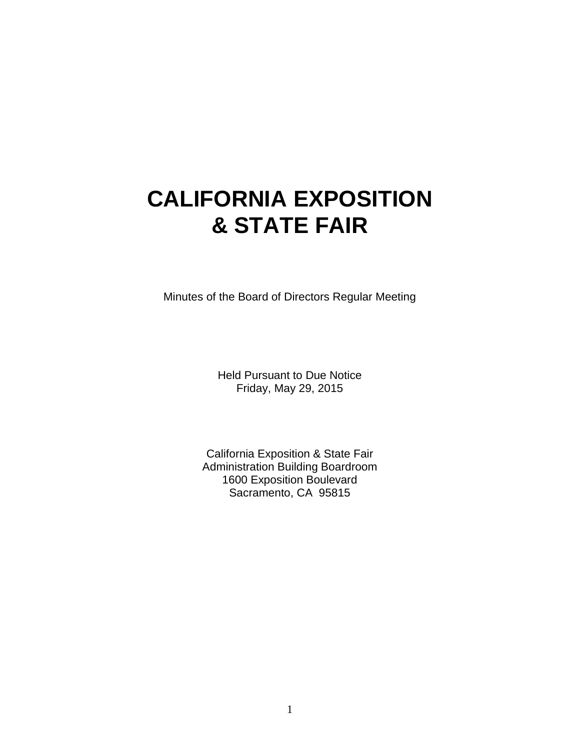# **CALIFORNIA EXPOSITION & STATE FAIR**

Minutes of the Board of Directors Regular Meeting

Held Pursuant to Due Notice Friday, May 29, 2015

California Exposition & State Fair Administration Building Boardroom 1600 Exposition Boulevard Sacramento, CA 95815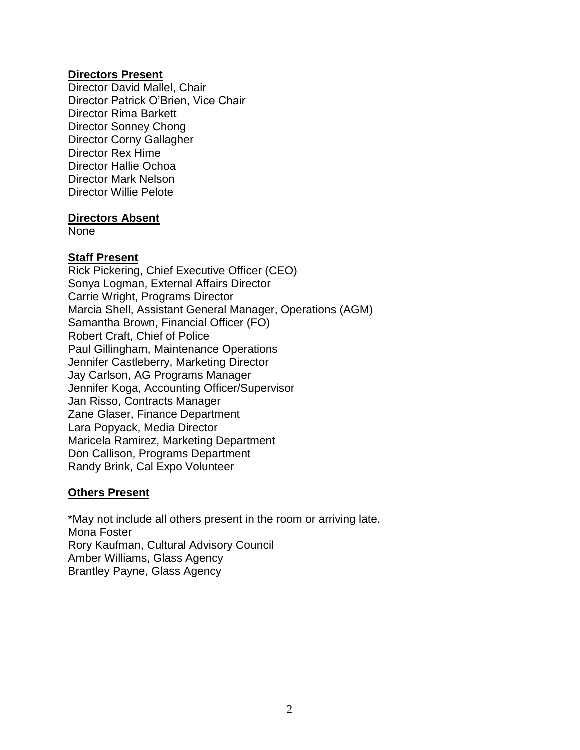#### **Directors Present**

Director David Mallel, Chair Director Patrick O'Brien, Vice Chair Director Rima Barkett Director Sonney Chong Director Corny Gallagher Director Rex Hime Director Hallie Ochoa Director Mark Nelson Director Willie Pelote

#### **Directors Absent**

None

## **Staff Present**

Rick Pickering, Chief Executive Officer (CEO) Sonya Logman, External Affairs Director Carrie Wright, Programs Director Marcia Shell, Assistant General Manager, Operations (AGM) Samantha Brown, Financial Officer (FO) Robert Craft, Chief of Police Paul Gillingham, Maintenance Operations Jennifer Castleberry, Marketing Director Jay Carlson, AG Programs Manager Jennifer Koga, Accounting Officer/Supervisor Jan Risso, Contracts Manager Zane Glaser, Finance Department Lara Popyack, Media Director Maricela Ramirez, Marketing Department Don Callison, Programs Department Randy Brink, Cal Expo Volunteer

## **Others Present**

\*May not include all others present in the room or arriving late. Mona Foster Rory Kaufman, Cultural Advisory Council Amber Williams, Glass Agency Brantley Payne, Glass Agency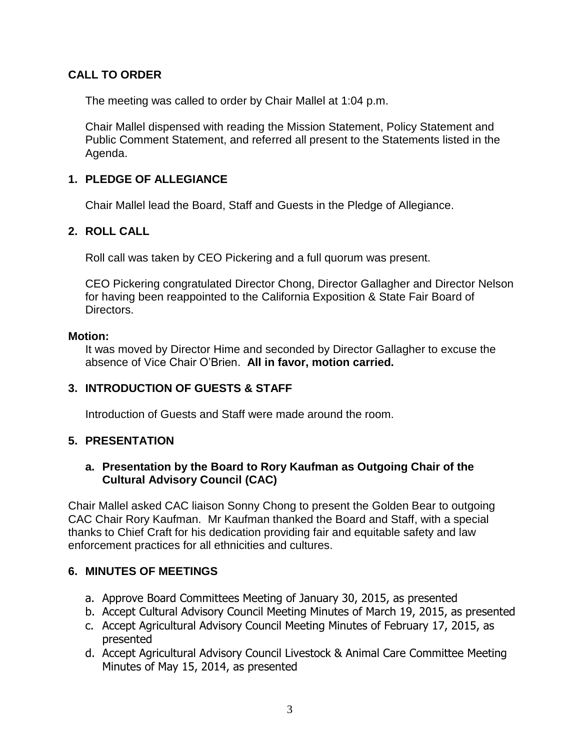# **CALL TO ORDER**

The meeting was called to order by Chair Mallel at 1:04 p.m.

Chair Mallel dispensed with reading the Mission Statement, Policy Statement and Public Comment Statement, and referred all present to the Statements listed in the Agenda.

# **1. PLEDGE OF ALLEGIANCE**

Chair Mallel lead the Board, Staff and Guests in the Pledge of Allegiance.

## **2. ROLL CALL**

Roll call was taken by CEO Pickering and a full quorum was present.

CEO Pickering congratulated Director Chong, Director Gallagher and Director Nelson for having been reappointed to the California Exposition & State Fair Board of Directors.

#### **Motion:**

It was moved by Director Hime and seconded by Director Gallagher to excuse the absence of Vice Chair O'Brien. **All in favor, motion carried.**

## **3. INTRODUCTION OF GUESTS & STAFF**

Introduction of Guests and Staff were made around the room.

## **5. PRESENTATION**

#### **a. Presentation by the Board to Rory Kaufman as Outgoing Chair of the Cultural Advisory Council (CAC)**

Chair Mallel asked CAC liaison Sonny Chong to present the Golden Bear to outgoing CAC Chair Rory Kaufman. Mr Kaufman thanked the Board and Staff, with a special thanks to Chief Craft for his dedication providing fair and equitable safety and law enforcement practices for all ethnicities and cultures.

## **6. MINUTES OF MEETINGS**

- a. Approve Board Committees Meeting of January 30, 2015, as presented
- b. Accept Cultural Advisory Council Meeting Minutes of March 19, 2015, as presented
- c. Accept Agricultural Advisory Council Meeting Minutes of February 17, 2015, as presented
- d. Accept Agricultural Advisory Council Livestock & Animal Care Committee Meeting Minutes of May 15, 2014, as presented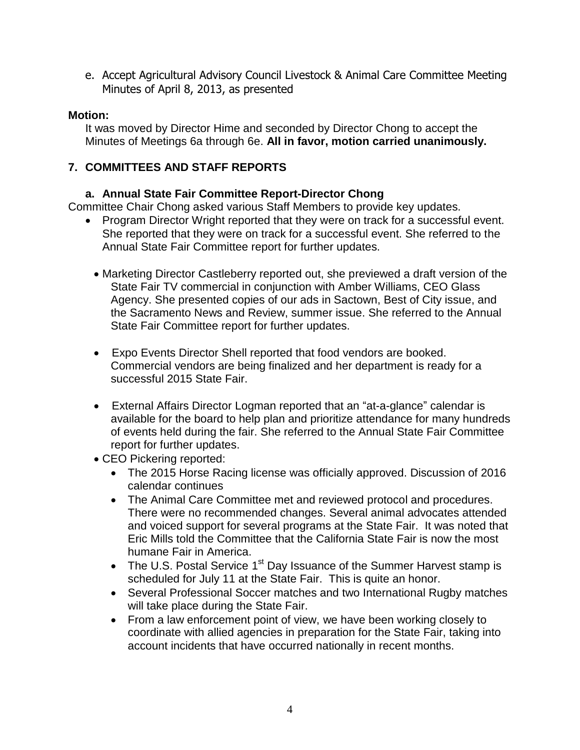e. Accept Agricultural Advisory Council Livestock & Animal Care Committee Meeting Minutes of April 8, 2013, as presented

#### **Motion:**

It was moved by Director Hime and seconded by Director Chong to accept the Minutes of Meetings 6a through 6e. **All in favor, motion carried unanimously.**

# **7. COMMITTEES AND STAFF REPORTS**

## **a. Annual State Fair Committee Report-Director Chong**

Committee Chair Chong asked various Staff Members to provide key updates.

- Program Director Wright reported that they were on track for a successful event. She reported that they were on track for a successful event. She referred to the Annual State Fair Committee report for further updates.
	- Marketing Director Castleberry reported out, she previewed a draft version of the State Fair TV commercial in conjunction with Amber Williams, CEO Glass Agency. She presented copies of our ads in Sactown, Best of City issue, and the Sacramento News and Review, summer issue. She referred to the Annual State Fair Committee report for further updates.
	- Expo Events Director Shell reported that food vendors are booked. Commercial vendors are being finalized and her department is ready for a successful 2015 State Fair.
	- External Affairs Director Logman reported that an "at-a-glance" calendar is available for the board to help plan and prioritize attendance for many hundreds of events held during the fair. She referred to the Annual State Fair Committee report for further updates.
	- CEO Pickering reported:
		- The 2015 Horse Racing license was officially approved. Discussion of 2016 calendar continues
		- The Animal Care Committee met and reviewed protocol and procedures. There were no recommended changes. Several animal advocates attended and voiced support for several programs at the State Fair. It was noted that Eric Mills told the Committee that the California State Fair is now the most humane Fair in America.
		- The U.S. Postal Service  $1<sup>st</sup>$  Day Issuance of the Summer Harvest stamp is scheduled for July 11 at the State Fair. This is quite an honor.
		- Several Professional Soccer matches and two International Rugby matches will take place during the State Fair.
		- From a law enforcement point of view, we have been working closely to coordinate with allied agencies in preparation for the State Fair, taking into account incidents that have occurred nationally in recent months.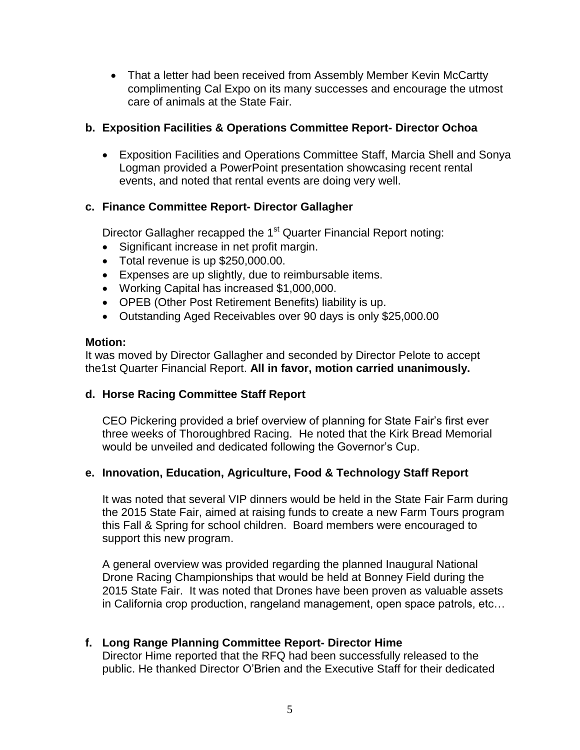• That a letter had been received from Assembly Member Kevin McCartty complimenting Cal Expo on its many successes and encourage the utmost care of animals at the State Fair.

## **b. Exposition Facilities & Operations Committee Report- Director Ochoa**

 Exposition Facilities and Operations Committee Staff, Marcia Shell and Sonya Logman provided a PowerPoint presentation showcasing recent rental events, and noted that rental events are doing very well.

# **c. Finance Committee Report- Director Gallagher**

Director Gallagher recapped the 1<sup>st</sup> Quarter Financial Report noting:

- Significant increase in net profit margin.
- Total revenue is up \$250,000.00.
- Expenses are up slightly, due to reimbursable items.
- Working Capital has increased \$1,000,000.
- OPEB (Other Post Retirement Benefits) liability is up.
- Outstanding Aged Receivables over 90 days is only \$25,000.00

## **Motion:**

It was moved by Director Gallagher and seconded by Director Pelote to accept the1st Quarter Financial Report. **All in favor, motion carried unanimously.**

## **d. Horse Racing Committee Staff Report**

CEO Pickering provided a brief overview of planning for State Fair's first ever three weeks of Thoroughbred Racing. He noted that the Kirk Bread Memorial would be unveiled and dedicated following the Governor's Cup.

## **e. Innovation, Education, Agriculture, Food & Technology Staff Report**

It was noted that several VIP dinners would be held in the State Fair Farm during the 2015 State Fair, aimed at raising funds to create a new Farm Tours program this Fall & Spring for school children. Board members were encouraged to support this new program.

A general overview was provided regarding the planned Inaugural National Drone Racing Championships that would be held at Bonney Field during the 2015 State Fair. It was noted that Drones have been proven as valuable assets in California crop production, rangeland management, open space patrols, etc…

## **f. Long Range Planning Committee Report- Director Hime**

Director Hime reported that the RFQ had been successfully released to the public. He thanked Director O'Brien and the Executive Staff for their dedicated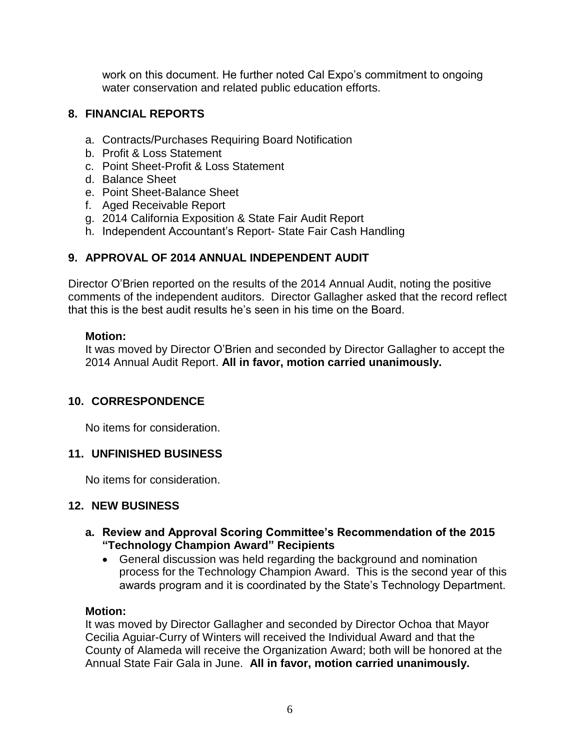work on this document. He further noted Cal Expo's commitment to ongoing water conservation and related public education efforts.

#### **8. FINANCIAL REPORTS**

- a. Contracts/Purchases Requiring Board Notification
- b. Profit & Loss Statement
- c. Point Sheet-Profit & Loss Statement
- d. Balance Sheet
- e. Point Sheet-Balance Sheet
- f. Aged Receivable Report
- g. 2014 California Exposition & State Fair Audit Report
- h. Independent Accountant's Report- State Fair Cash Handling

#### **9. APPROVAL OF 2014 ANNUAL INDEPENDENT AUDIT**

Director O'Brien reported on the results of the 2014 Annual Audit, noting the positive comments of the independent auditors. Director Gallagher asked that the record reflect that this is the best audit results he's seen in his time on the Board.

#### **Motion:**

It was moved by Director O'Brien and seconded by Director Gallagher to accept the 2014 Annual Audit Report. **All in favor, motion carried unanimously.**

#### **10. CORRESPONDENCE**

No items for consideration.

#### **11. UNFINISHED BUSINESS**

No items for consideration.

#### **12. NEW BUSINESS**

- **a. Review and Approval Scoring Committee's Recommendation of the 2015 "Technology Champion Award" Recipients** 
	- General discussion was held regarding the background and nomination process for the Technology Champion Award. This is the second year of this awards program and it is coordinated by the State's Technology Department.

#### **Motion:**

It was moved by Director Gallagher and seconded by Director Ochoa that Mayor Cecilia Aguiar-Curry of Winters will received the Individual Award and that the County of Alameda will receive the Organization Award; both will be honored at the Annual State Fair Gala in June. **All in favor, motion carried unanimously.**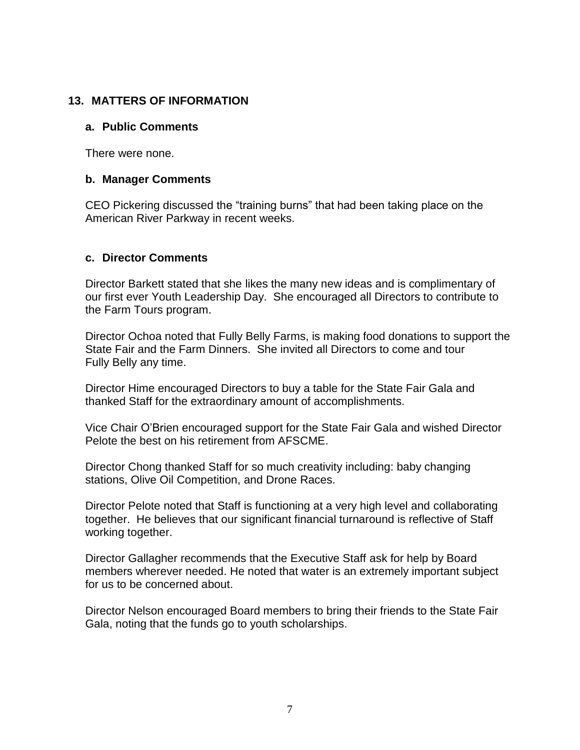#### **13. MATTERS OF INFORMATION**

#### **a. Public Comments**

There were none.

#### **b. Manager Comments**

CEO Pickering discussed the "training burns" that had been taking place on the American River Parkway in recent weeks.

#### **c. Director Comments**

Director Barkett stated that she likes the many new ideas and is complimentary of our first ever Youth Leadership Day. She encouraged all Directors to contribute to the Farm Tours program.

Director Ochoa noted that Fully Belly Farms, is making food donations to support the State Fair and the Farm Dinners. She invited all Directors to come and tour Fully Belly any time.

Director Hime encouraged Directors to buy a table for the State Fair Gala and thanked Staff for the extraordinary amount of accomplishments.

Vice Chair O'Brien encouraged support for the State Fair Gala and wished Director Pelote the best on his retirement from AFSCME.

Director Chong thanked Staff for so much creativity including: baby changing stations, Olive Oil Competition, and Drone Races.

Director Pelote noted that Staff is functioning at a very high level and collaborating together. He believes that our significant financial turnaround is reflective of Staff working together.

Director Gallagher recommends that the Executive Staff ask for help by Board members wherever needed. He noted that water is an extremely important subject for us to be concerned about.

Director Nelson encouraged Board members to bring their friends to the State Fair Gala, noting that the funds go to youth scholarships.